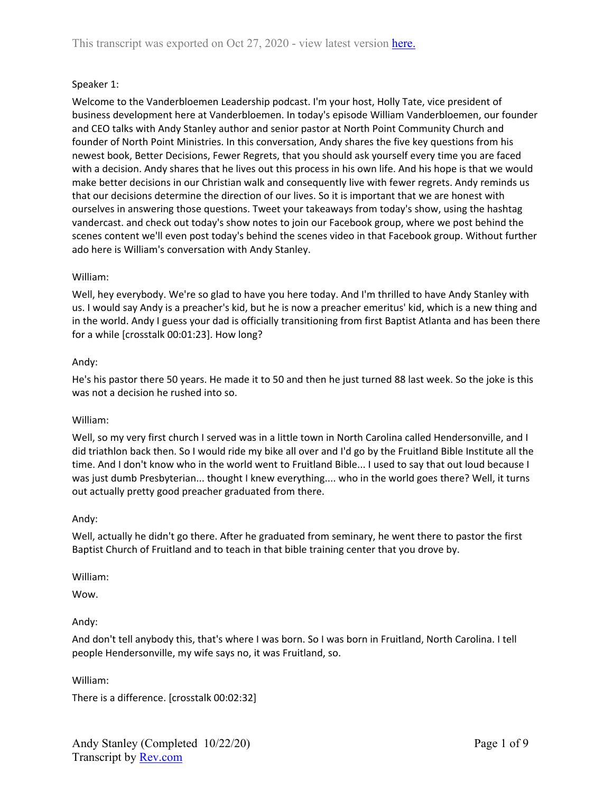# Speaker 1:

Welcome to the Vanderbloemen Leadership podcast. I'm your host, Holly Tate, vice president of business development here at Vanderbloemen. In today's episode William Vanderbloemen, our founder and CEO talks with Andy Stanley author and senior pastor at North Point Community Church and founder of North Point Ministries. In this conversation, Andy shares the five key questions from his newest book, Better Decisions, Fewer Regrets, that you should ask yourself every time you are faced with a decision. Andy shares that he lives out this process in his own life. And his hope is that we would make better decisions in our Christian walk and consequently live with fewer regrets. Andy reminds us that our decisions determine the direction of our lives. So it is important that we are honest with ourselves in answering those questions. Tweet your takeaways from today's show, using the hashtag vandercast. and check out today's show notes to join our Facebook group, where we post behind the scenes content we'll even post today's behind the scenes video in that Facebook group. Without further ado here is William's conversation with Andy Stanley.

#### William:

Well, hey everybody. We're so glad to have you here today. And I'm thrilled to have Andy Stanley with us. I would say Andy is a preacher's kid, but he is now a preacher emeritus' kid, which is a new thing and in the world. Andy I guess your dad is officially transitioning from first Baptist Atlanta and has been there for a while [crosstalk 00:01:23]. How long?

#### Andy:

He's his pastor there 50 years. He made it to 50 and then he just turned 88 last week. So the joke is this was not a decision he rushed into so.

#### William:

Well, so my very first church I served was in a little town in North Carolina called Hendersonville, and I did triathlon back then. So I would ride my bike all over and I'd go by the Fruitland Bible Institute all the time. And I don't know who in the world went to Fruitland Bible... I used to say that out loud because I was just dumb Presbyterian... thought I knew everything.... who in the world goes there? Well, it turns out actually pretty good preacher graduated from there.

#### Andy:

Well, actually he didn't go there. After he graduated from seminary, he went there to pastor the first Baptist Church of Fruitland and to teach in that bible training center that you drove by.

William:

Wow.

# Andy:

And don't tell anybody this, that's where I was born. So I was born in Fruitland, North Carolina. I tell people Hendersonville, my wife says no, it was Fruitland, so.

William:

There is a difference. [crosstalk 00:02:32]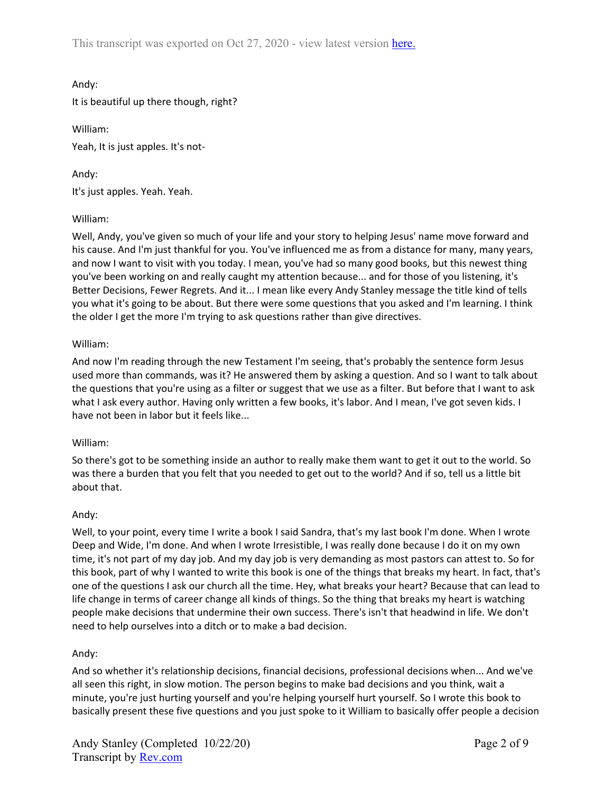This transcript was exported on Oct 27, 2020 - view latest version [here](https://www.rev.com/transcript-editor/shared/im272FssDab0HT6rDONV4TYlBOW66QfcqP1xOxrE9LKSFpejsFeRTMa0ogxKwbZtnooO_1TtHKwfyVNDNhCKdcxtFf8?loadFrom=DocumentHeaderDeepLink).

Andy:

It is beautiful up there though, right?

William: Yeah, It is just apples. It's not-

Andy: It's just apples. Yeah. Yeah.

# William:

Well, Andy, you've given so much of your life and your story to helping Jesus' name move forward and his cause. And I'm just thankful for you. You've influenced me as from a distance for many, many years, and now I want to visit with you today. I mean, you've had so many good books, but this newest thing you've been working on and really caught my attention because... and for those of you listening, it's Better Decisions, Fewer Regrets. And it... I mean like every Andy Stanley message the title kind of tells you what it's going to be about. But there were some questions that you asked and I'm learning. I think the older I get the more I'm trying to ask questions rather than give directives.

# William:

And now I'm reading through the new Testament I'm seeing, that's probably the sentence form Jesus used more than commands, was it? He answered them by asking a question. And so I want to talk about the questions that you're using as a filter or suggest that we use as a filter. But before that I want to ask what I ask every author. Having only written a few books, it's labor. And I mean, I've got seven kids. I have not been in labor but it feels like...

# William:

So there's got to be something inside an author to really make them want to get it out to the world. So was there a burden that you felt that you needed to get out to the world? And if so, tell us a little bit about that.

# Andy:

Well, to your point, every time I write a book I said Sandra, that's my last book I'm done. When I wrote Deep and Wide, I'm done. And when I wrote Irresistible, I was really done because I do it on my own time, it's not part of my day job. And my day job is very demanding as most pastors can attest to. So for this book, part of why I wanted to write this book is one of the things that breaks my heart. In fact, that's one of the questions I ask our church all the time. Hey, what breaks your heart? Because that can lead to life change in terms of career change all kinds of things. So the thing that breaks my heart is watching people make decisions that undermine their own success. There's isn't that headwind in life. We don't need to help ourselves into a ditch or to make a bad decision.

# Andy:

And so whether it's relationship decisions, financial decisions, professional decisions when... And we've all seen this right, in slow motion. The person begins to make bad decisions and you think, wait a minute, you're just hurting yourself and you're helping yourself hurt yourself. So I wrote this book to basically present these five questions and you just spoke to it William to basically offer people a decision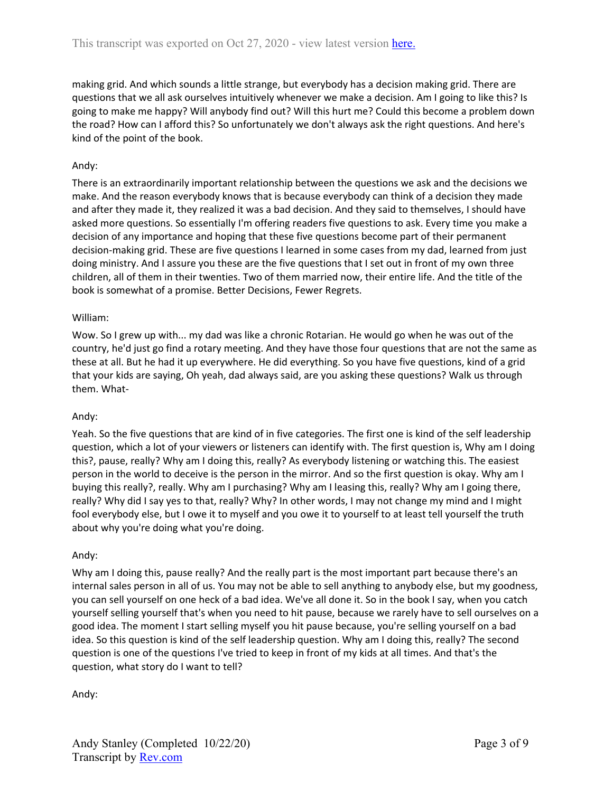making grid. And which sounds a little strange, but everybody has a decision making grid. There are questions that we all ask ourselves intuitively whenever we make a decision. Am I going to like this? Is going to make me happy? Will anybody find out? Will this hurt me? Could this become a problem down the road? How can I afford this? So unfortunately we don't always ask the right questions. And here's kind of the point of the book.

# Andy:

There is an extraordinarily important relationship between the questions we ask and the decisions we make. And the reason everybody knows that is because everybody can think of a decision they made and after they made it, they realized it was a bad decision. And they said to themselves, I should have asked more questions. So essentially I'm offering readers five questions to ask. Every time you make a decision of any importance and hoping that these five questions become part of their permanent decision-making grid. These are five questions I learned in some cases from my dad, learned from just doing ministry. And I assure you these are the five questions that I set out in front of my own three children, all of them in their twenties. Two of them married now, their entire life. And the title of the book is somewhat of a promise. Better Decisions, Fewer Regrets.

#### William:

Wow. So I grew up with... my dad was like a chronic Rotarian. He would go when he was out of the country, he'd just go find a rotary meeting. And they have those four questions that are not the same as these at all. But he had it up everywhere. He did everything. So you have five questions, kind of a grid that your kids are saying, Oh yeah, dad always said, are you asking these questions? Walk us through them. What-

# Andy:

Yeah. So the five questions that are kind of in five categories. The first one is kind of the self leadership question, which a lot of your viewers or listeners can identify with. The first question is, Why am I doing this?, pause, really? Why am I doing this, really? As everybody listening or watching this. The easiest person in the world to deceive is the person in the mirror. And so the first question is okay. Why am I buying this really?, really. Why am I purchasing? Why am I leasing this, really? Why am I going there, really? Why did I say yes to that, really? Why? In other words, I may not change my mind and I might fool everybody else, but I owe it to myself and you owe it to yourself to at least tell yourself the truth about why you're doing what you're doing.

# Andy:

Why am I doing this, pause really? And the really part is the most important part because there's an internal sales person in all of us. You may not be able to sell anything to anybody else, but my goodness, you can sell yourself on one heck of a bad idea. We've all done it. So in the book I say, when you catch yourself selling yourself that's when you need to hit pause, because we rarely have to sell ourselves on a good idea. The moment I start selling myself you hit pause because, you're selling yourself on a bad idea. So this question is kind of the self leadership question. Why am I doing this, really? The second question is one of the questions I've tried to keep in front of my kids at all times. And that's the question, what story do I want to tell?

Andy: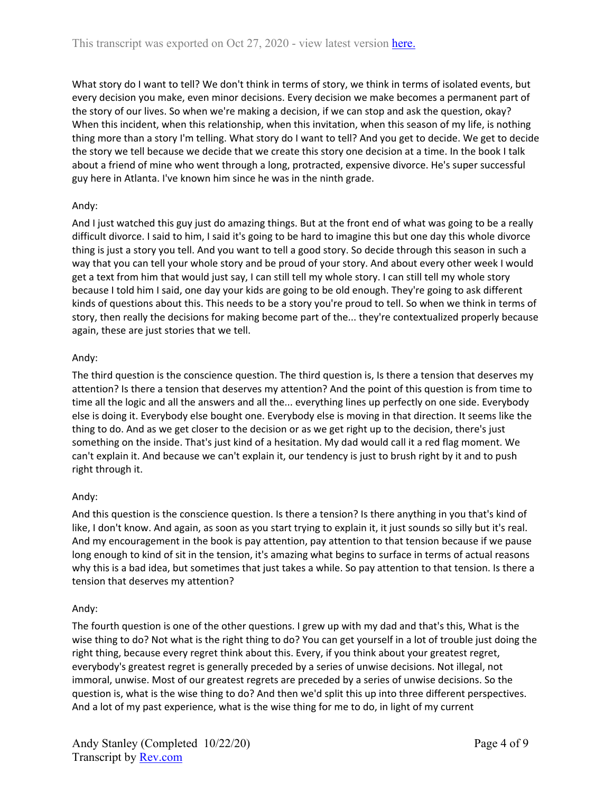What story do I want to tell? We don't think in terms of story, we think in terms of isolated events, but every decision you make, even minor decisions. Every decision we make becomes a permanent part of the story of our lives. So when we're making a decision, if we can stop and ask the question, okay? When this incident, when this relationship, when this invitation, when this season of my life, is nothing thing more than a story I'm telling. What story do I want to tell? And you get to decide. We get to decide the story we tell because we decide that we create this story one decision at a time. In the book I talk about a friend of mine who went through a long, protracted, expensive divorce. He's super successful guy here in Atlanta. I've known him since he was in the ninth grade.

# Andy:

And I just watched this guy just do amazing things. But at the front end of what was going to be a really difficult divorce. I said to him, I said it's going to be hard to imagine this but one day this whole divorce thing is just a story you tell. And you want to tell a good story. So decide through this season in such a way that you can tell your whole story and be proud of your story. And about every other week I would get a text from him that would just say, I can still tell my whole story. I can still tell my whole story because I told him I said, one day your kids are going to be old enough. They're going to ask different kinds of questions about this. This needs to be a story you're proud to tell. So when we think in terms of story, then really the decisions for making become part of the... they're contextualized properly because again, these are just stories that we tell.

# Andy:

The third question is the conscience question. The third question is, Is there a tension that deserves my attention? Is there a tension that deserves my attention? And the point of this question is from time to time all the logic and all the answers and all the... everything lines up perfectly on one side. Everybody else is doing it. Everybody else bought one. Everybody else is moving in that direction. It seems like the thing to do. And as we get closer to the decision or as we get right up to the decision, there's just something on the inside. That's just kind of a hesitation. My dad would call it a red flag moment. We can't explain it. And because we can't explain it, our tendency is just to brush right by it and to push right through it.

# Andy:

And this question is the conscience question. Is there a tension? Is there anything in you that's kind of like, I don't know. And again, as soon as you start trying to explain it, it just sounds so silly but it's real. And my encouragement in the book is pay attention, pay attention to that tension because if we pause long enough to kind of sit in the tension, it's amazing what begins to surface in terms of actual reasons why this is a bad idea, but sometimes that just takes a while. So pay attention to that tension. Is there a tension that deserves my attention?

# Andy:

The fourth question is one of the other questions. I grew up with my dad and that's this, What is the wise thing to do? Not what is the right thing to do? You can get yourself in a lot of trouble just doing the right thing, because every regret think about this. Every, if you think about your greatest regret, everybody's greatest regret is generally preceded by a series of unwise decisions. Not illegal, not immoral, unwise. Most of our greatest regrets are preceded by a series of unwise decisions. So the question is, what is the wise thing to do? And then we'd split this up into three different perspectives. And a lot of my past experience, what is the wise thing for me to do, in light of my current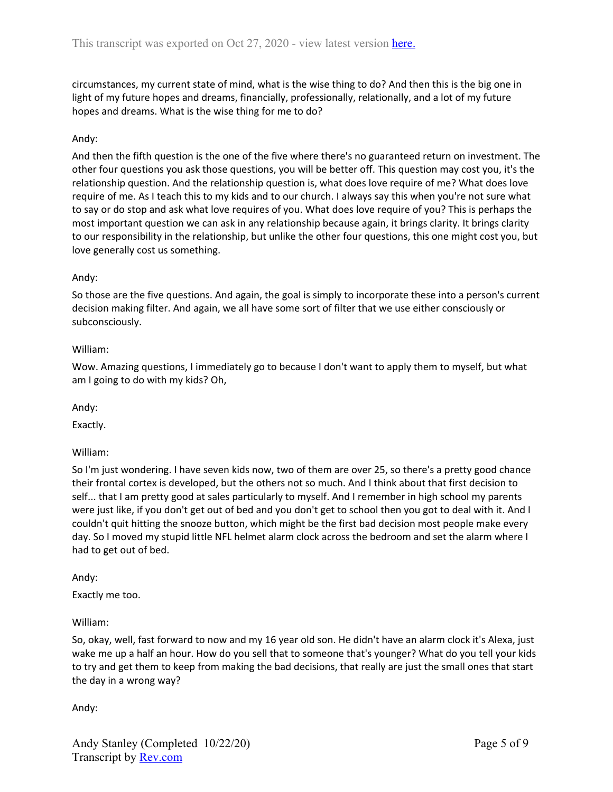circumstances, my current state of mind, what is the wise thing to do? And then this is the big one in light of my future hopes and dreams, financially, professionally, relationally, and a lot of my future hopes and dreams. What is the wise thing for me to do?

# Andy:

And then the fifth question is the one of the five where there's no guaranteed return on investment. The other four questions you ask those questions, you will be better off. This question may cost you, it's the relationship question. And the relationship question is, what does love require of me? What does love require of me. As I teach this to my kids and to our church. I always say this when you're not sure what to say or do stop and ask what love requires of you. What does love require of you? This is perhaps the most important question we can ask in any relationship because again, it brings clarity. It brings clarity to our responsibility in the relationship, but unlike the other four questions, this one might cost you, but love generally cost us something.

#### Andy:

So those are the five questions. And again, the goal is simply to incorporate these into a person's current decision making filter. And again, we all have some sort of filter that we use either consciously or subconsciously.

#### William:

Wow. Amazing questions, I immediately go to because I don't want to apply them to myself, but what am I going to do with my kids? Oh,

Andy:

Exactly.

#### William:

So I'm just wondering. I have seven kids now, two of them are over 25, so there's a pretty good chance their frontal cortex is developed, but the others not so much. And I think about that first decision to self... that I am pretty good at sales particularly to myself. And I remember in high school my parents were just like, if you don't get out of bed and you don't get to school then you got to deal with it. And I couldn't quit hitting the snooze button, which might be the first bad decision most people make every day. So I moved my stupid little NFL helmet alarm clock across the bedroom and set the alarm where I had to get out of bed.

#### Andy:

Exactly me too.

#### William:

So, okay, well, fast forward to now and my 16 year old son. He didn't have an alarm clock it's Alexa, just wake me up a half an hour. How do you sell that to someone that's younger? What do you tell your kids to try and get them to keep from making the bad decisions, that really are just the small ones that start the day in a wrong way?

Andy: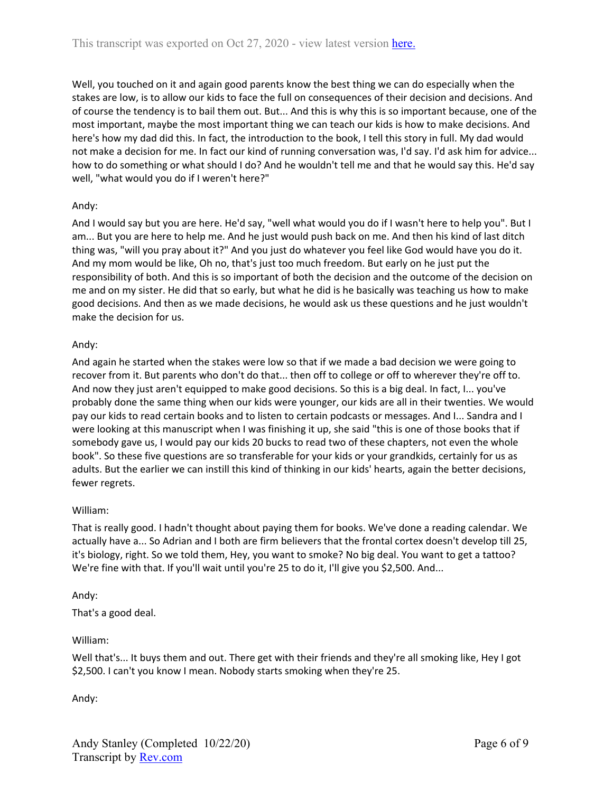Well, you touched on it and again good parents know the best thing we can do especially when the stakes are low, is to allow our kids to face the full on consequences of their decision and decisions. And of course the tendency is to bail them out. But... And this is why this is so important because, one of the most important, maybe the most important thing we can teach our kids is how to make decisions. And here's how my dad did this. In fact, the introduction to the book, I tell this story in full. My dad would not make a decision for me. In fact our kind of running conversation was, I'd say. I'd ask him for advice... how to do something or what should I do? And he wouldn't tell me and that he would say this. He'd say well, "what would you do if I weren't here?"

# Andy:

And I would say but you are here. He'd say, "well what would you do if I wasn't here to help you". But I am... But you are here to help me. And he just would push back on me. And then his kind of last ditch thing was, "will you pray about it?" And you just do whatever you feel like God would have you do it. And my mom would be like, Oh no, that's just too much freedom. But early on he just put the responsibility of both. And this is so important of both the decision and the outcome of the decision on me and on my sister. He did that so early, but what he did is he basically was teaching us how to make good decisions. And then as we made decisions, he would ask us these questions and he just wouldn't make the decision for us.

# Andy:

And again he started when the stakes were low so that if we made a bad decision we were going to recover from it. But parents who don't do that... then off to college or off to wherever they're off to. And now they just aren't equipped to make good decisions. So this is a big deal. In fact, I... you've probably done the same thing when our kids were younger, our kids are all in their twenties. We would pay our kids to read certain books and to listen to certain podcasts or messages. And I... Sandra and I were looking at this manuscript when I was finishing it up, she said "this is one of those books that if somebody gave us, I would pay our kids 20 bucks to read two of these chapters, not even the whole book". So these five questions are so transferable for your kids or your grandkids, certainly for us as adults. But the earlier we can instill this kind of thinking in our kids' hearts, again the better decisions, fewer regrets.

# William:

That is really good. I hadn't thought about paying them for books. We've done a reading calendar. We actually have a... So Adrian and I both are firm believers that the frontal cortex doesn't develop till 25, it's biology, right. So we told them, Hey, you want to smoke? No big deal. You want to get a tattoo? We're fine with that. If you'll wait until you're 25 to do it, I'll give you \$2,500. And...

# Andy:

That's a good deal.

# William:

Well that's... It buys them and out. There get with their friends and they're all smoking like, Hey I got \$2,500. I can't you know I mean. Nobody starts smoking when they're 25.

Andy: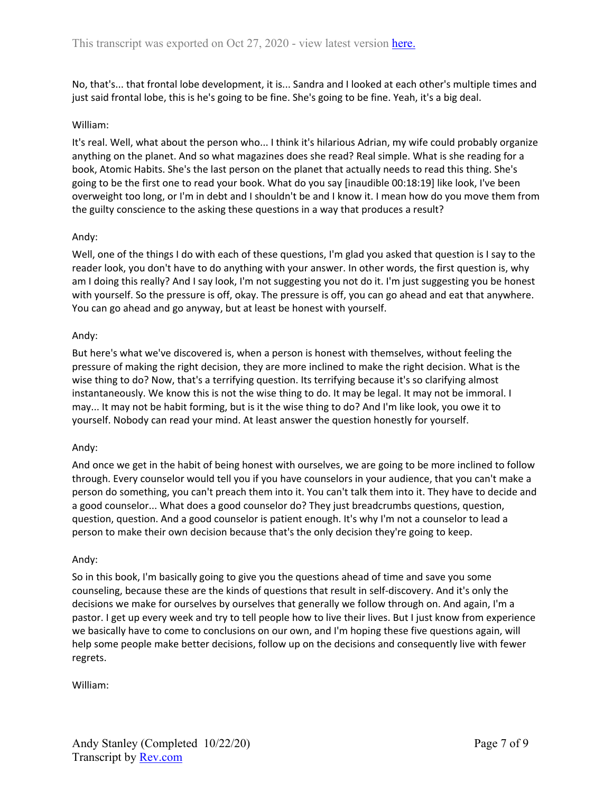No, that's... that frontal lobe development, it is... Sandra and I looked at each other's multiple times and just said frontal lobe, this is he's going to be fine. She's going to be fine. Yeah, it's a big deal.

#### William:

It's real. Well, what about the person who... I think it's hilarious Adrian, my wife could probably organize anything on the planet. And so what magazines does she read? Real simple. What is she reading for a book, Atomic Habits. She's the last person on the planet that actually needs to read this thing. She's going to be the first one to read your book. What do you say [inaudible 00:18:19] like look, I've been overweight too long, or I'm in debt and I shouldn't be and I know it. I mean how do you move them from the guilty conscience to the asking these questions in a way that produces a result?

# Andy:

Well, one of the things I do with each of these questions, I'm glad you asked that question is I say to the reader look, you don't have to do anything with your answer. In other words, the first question is, why am I doing this really? And I say look, I'm not suggesting you not do it. I'm just suggesting you be honest with yourself. So the pressure is off, okay. The pressure is off, you can go ahead and eat that anywhere. You can go ahead and go anyway, but at least be honest with yourself.

# Andy:

But here's what we've discovered is, when a person is honest with themselves, without feeling the pressure of making the right decision, they are more inclined to make the right decision. What is the wise thing to do? Now, that's a terrifying question. Its terrifying because it's so clarifying almost instantaneously. We know this is not the wise thing to do. It may be legal. It may not be immoral. I may... It may not be habit forming, but is it the wise thing to do? And I'm like look, you owe it to yourself. Nobody can read your mind. At least answer the question honestly for yourself.

# Andy:

And once we get in the habit of being honest with ourselves, we are going to be more inclined to follow through. Every counselor would tell you if you have counselors in your audience, that you can't make a person do something, you can't preach them into it. You can't talk them into it. They have to decide and a good counselor... What does a good counselor do? They just breadcrumbs questions, question, question, question. And a good counselor is patient enough. It's why I'm not a counselor to lead a person to make their own decision because that's the only decision they're going to keep.

# Andy:

So in this book, I'm basically going to give you the questions ahead of time and save you some counseling, because these are the kinds of questions that result in self-discovery. And it's only the decisions we make for ourselves by ourselves that generally we follow through on. And again, I'm a pastor. I get up every week and try to tell people how to live their lives. But I just know from experience we basically have to come to conclusions on our own, and I'm hoping these five questions again, will help some people make better decisions, follow up on the decisions and consequently live with fewer regrets.

William: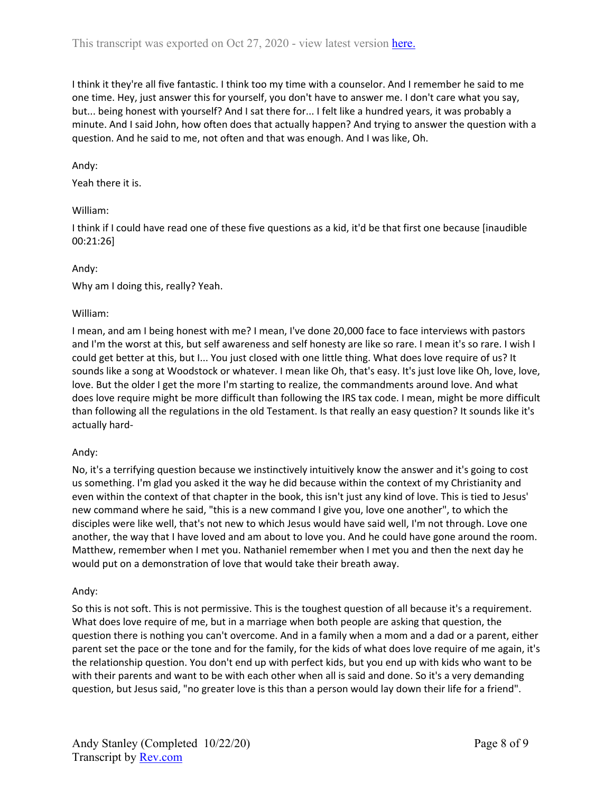I think it they're all five fantastic. I think too my time with a counselor. And I remember he said to me one time. Hey, just answer this for yourself, you don't have to answer me. I don't care what you say, but... being honest with yourself? And I sat there for... I felt like a hundred years, it was probably a minute. And I said John, how often does that actually happen? And trying to answer the question with a question. And he said to me, not often and that was enough. And I was like, Oh.

#### Andy:

#### Yeah there it is.

#### William:

I think if I could have read one of these five questions as a kid, it'd be that first one because [inaudible 00:21:26]

#### Andy:

Why am I doing this, really? Yeah.

#### William:

I mean, and am I being honest with me? I mean, I've done 20,000 face to face interviews with pastors and I'm the worst at this, but self awareness and self honesty are like so rare. I mean it's so rare. I wish I could get better at this, but I... You just closed with one little thing. What does love require of us? It sounds like a song at Woodstock or whatever. I mean like Oh, that's easy. It's just love like Oh, love, love, love. But the older I get the more I'm starting to realize, the commandments around love. And what does love require might be more difficult than following the IRS tax code. I mean, might be more difficult than following all the regulations in the old Testament. Is that really an easy question? It sounds like it's actually hard-

#### Andy:

No, it's a terrifying question because we instinctively intuitively know the answer and it's going to cost us something. I'm glad you asked it the way he did because within the context of my Christianity and even within the context of that chapter in the book, this isn't just any kind of love. This is tied to Jesus' new command where he said, "this is a new command I give you, love one another", to which the disciples were like well, that's not new to which Jesus would have said well, I'm not through. Love one another, the way that I have loved and am about to love you. And he could have gone around the room. Matthew, remember when I met you. Nathaniel remember when I met you and then the next day he would put on a demonstration of love that would take their breath away.

#### Andy:

So this is not soft. This is not permissive. This is the toughest question of all because it's a requirement. What does love require of me, but in a marriage when both people are asking that question, the question there is nothing you can't overcome. And in a family when a mom and a dad or a parent, either parent set the pace or the tone and for the family, for the kids of what does love require of me again, it's the relationship question. You don't end up with perfect kids, but you end up with kids who want to be with their parents and want to be with each other when all is said and done. So it's a very demanding question, but Jesus said, "no greater love is this than a person would lay down their life for a friend".